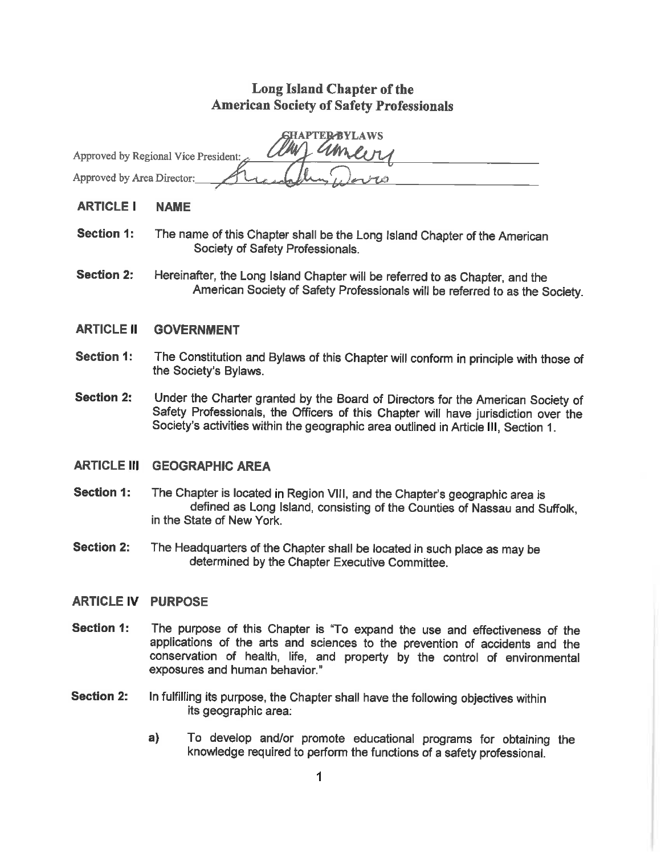# Long Island Chapter of the **American Society of Safety Professionals**

| <b>SHAPTER BYLAWS</b>                          |
|------------------------------------------------|
| ameins<br>Approved by Regional Vice President: |
| Approved by Area Director:<br>هامزسع           |

- **ARTICLE I NAME**
- Section 1: The name of this Chapter shall be the Long Island Chapter of the American Society of Safety Professionals.
- **Section 2:** Hereinafter, the Long Island Chapter will be referred to as Chapter, and the American Society of Safety Professionals will be referred to as the Society.
- **ARTICLE II GOVERNMENT**
- **Section 1:** The Constitution and Bylaws of this Chapter will conform in principle with those of the Society's Bylaws.
- Section 2: Under the Charter granted by the Board of Directors for the American Society of Safety Professionals, the Officers of this Chapter will have jurisdiction over the Society's activities within the geographic area outlined in Article III, Section 1.

# **ARTICLE III GEOGRAPHIC AREA**

- Section 1: The Chapter is located in Region VIII, and the Chapter's geographic area is defined as Long Island, consisting of the Counties of Nassau and Suffolk, in the State of New York.
- **Section 2:** The Headquarters of the Chapter shall be located in such place as may be determined by the Chapter Executive Committee.

#### **ARTICLE IV PURPOSE**

- **Section 1:** The purpose of this Chapter is "To expand the use and effectiveness of the applications of the arts and sciences to the prevention of accidents and the conservation of health, life, and property by the control of environmental exposures and human behavior."
- **Section 2:** In fulfilling its purpose, the Chapter shall have the following objectives within its geographic area:
	- $a)$ To develop and/or promote educational programs for obtaining the knowledge required to perform the functions of a safety professional.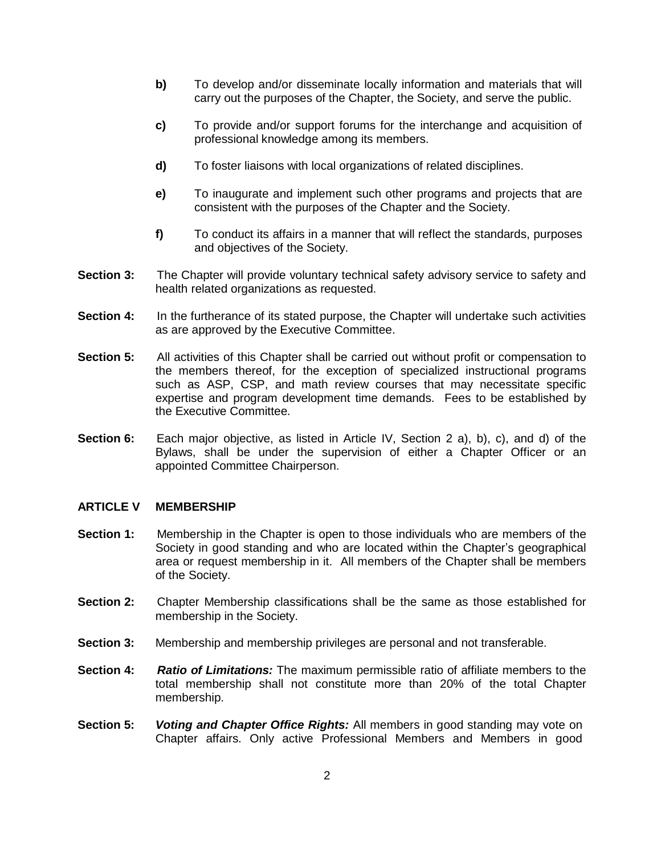- **b)** To develop and/or disseminate locally information and materials that will carry out the purposes of the Chapter, the Society, and serve the public.
- **c)** To provide and/or support forums for the interchange and acquisition of professional knowledge among its members.
- **d)** To foster liaisons with local organizations of related disciplines.
- **e)** To inaugurate and implement such other programs and projects that are consistent with the purposes of the Chapter and the Society.
- **f)** To conduct its affairs in a manner that will reflect the standards, purposes and objectives of the Society.
- **Section 3:** The Chapter will provide voluntary technical safety advisory service to safety and health related organizations as requested.
- **Section 4:** In the furtherance of its stated purpose, the Chapter will undertake such activities as are approved by the Executive Committee.
- **Section 5:** All activities of this Chapter shall be carried out without profit or compensation to the members thereof, for the exception of specialized instructional programs such as ASP, CSP, and math review courses that may necessitate specific expertise and program development time demands. Fees to be established by the Executive Committee.
- **Section 6:** Each major objective, as listed in Article IV, Section 2 a), b), c), and d) of the Bylaws, shall be under the supervision of either a Chapter Officer or an appointed Committee Chairperson.

#### **ARTICLE V MEMBERSHIP**

- **Section 1:** Membership in the Chapter is open to those individuals who are members of the Society in good standing and who are located within the Chapter's geographical area or request membership in it. All members of the Chapter shall be members of the Society.
- **Section 2:** Chapter Membership classifications shall be the same as those established for membership in the Society.
- **Section 3:** Membership and membership privileges are personal and not transferable.
- **Section 4:** *Ratio of Limitations:* The maximum permissible ratio of affiliate members to the total membership shall not constitute more than 20% of the total Chapter membership.
- **Section 5:** *Voting and Chapter Office Rights:* All members in good standing may vote on Chapter affairs. Only active Professional Members and Members in good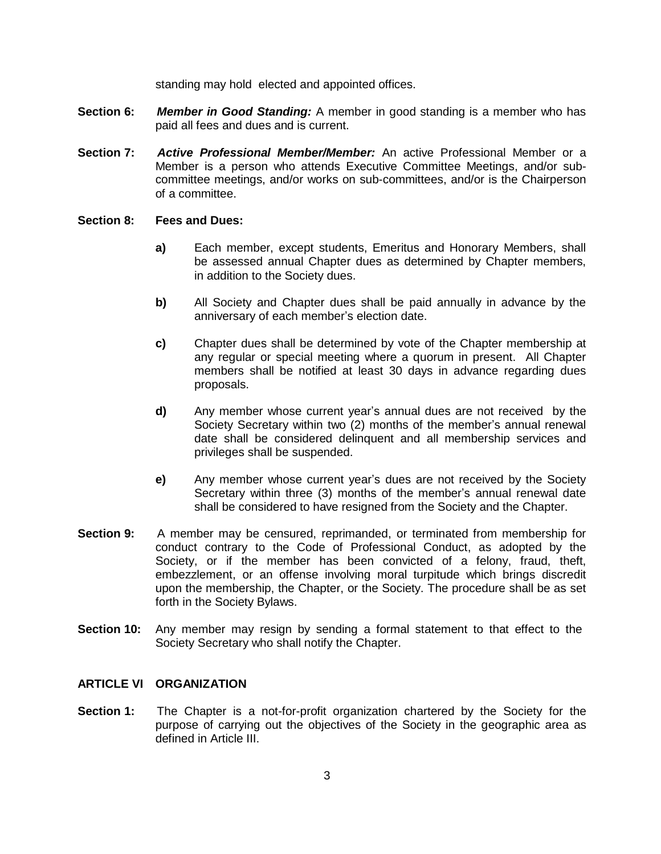standing may hold elected and appointed offices.

- **Section 6:** *Member in Good Standing:* A member in good standing is a member who has paid all fees and dues and is current.
- **Section 7:** *Active Professional Member/Member:* An active Professional Member or a Member is a person who attends Executive Committee Meetings, and/or subcommittee meetings, and/or works on sub-committees, and/or is the Chairperson of a committee.

#### **Section 8: Fees and Dues:**

- **a)** Each member, except students, Emeritus and Honorary Members, shall be assessed annual Chapter dues as determined by Chapter members, in addition to the Society dues.
- **b)** All Society and Chapter dues shall be paid annually in advance by the anniversary of each member's election date.
- **c)** Chapter dues shall be determined by vote of the Chapter membership at any regular or special meeting where a quorum in present. All Chapter members shall be notified at least 30 days in advance regarding dues proposals.
- **d)** Any member whose current year's annual dues are not received by the Society Secretary within two (2) months of the member's annual renewal date shall be considered delinquent and all membership services and privileges shall be suspended.
- **e)** Any member whose current year's dues are not received by the Society Secretary within three (3) months of the member's annual renewal date shall be considered to have resigned from the Society and the Chapter.
- **Section 9:** A member may be censured, reprimanded, or terminated from membership for conduct contrary to the Code of Professional Conduct, as adopted by the Society, or if the member has been convicted of a felony, fraud, theft, embezzlement, or an offense involving moral turpitude which brings discredit upon the membership, the Chapter, or the Society. The procedure shall be as set forth in the Society Bylaws.
- **Section 10:** Any member may resign by sending a formal statement to that effect to the Society Secretary who shall notify the Chapter.

### **ARTICLE VI ORGANIZATION**

**Section 1:** The Chapter is a not-for-profit organization chartered by the Society for the purpose of carrying out the objectives of the Society in the geographic area as defined in Article III.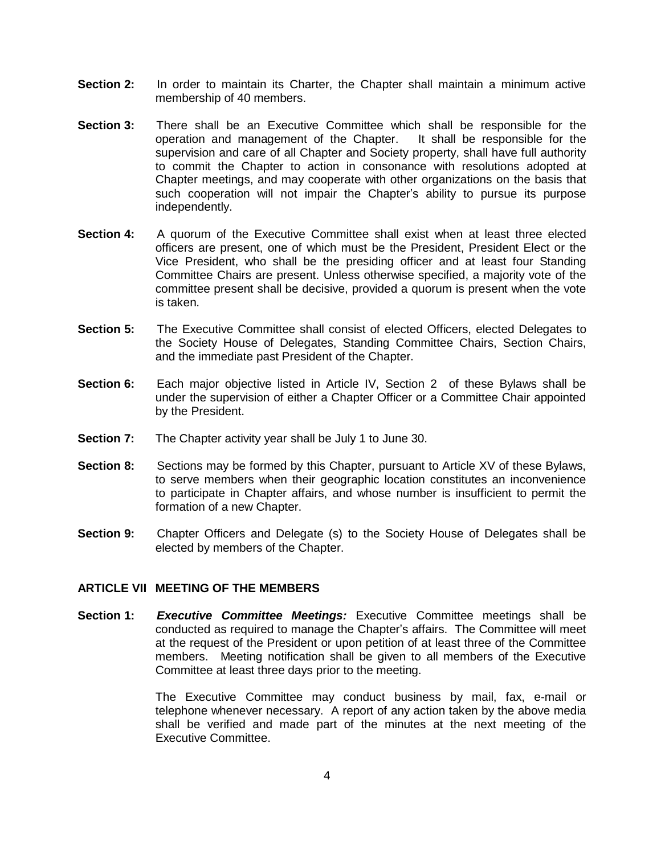- **Section 2:** In order to maintain its Charter, the Chapter shall maintain a minimum active membership of 40 members.
- **Section 3:** There shall be an Executive Committee which shall be responsible for the operation and management of the Chapter. It shall be responsible for the supervision and care of all Chapter and Society property, shall have full authority to commit the Chapter to action in consonance with resolutions adopted at Chapter meetings, and may cooperate with other organizations on the basis that such cooperation will not impair the Chapter's ability to pursue its purpose independently.
- **Section 4:** A quorum of the Executive Committee shall exist when at least three elected officers are present, one of which must be the President, President Elect or the Vice President, who shall be the presiding officer and at least four Standing Committee Chairs are present. Unless otherwise specified, a majority vote of the committee present shall be decisive, provided a quorum is present when the vote is taken.
- **Section 5:** The Executive Committee shall consist of elected Officers, elected Delegates to the Society House of Delegates, Standing Committee Chairs, Section Chairs, and the immediate past President of the Chapter.
- **Section 6:** Each major objective listed in Article IV, Section 2 of these Bylaws shall be under the supervision of either a Chapter Officer or a Committee Chair appointed by the President.
- **Section 7:** The Chapter activity year shall be July 1 to June 30.
- **Section 8:** Sections may be formed by this Chapter, pursuant to Article XV of these Bylaws, to serve members when their geographic location constitutes an inconvenience to participate in Chapter affairs, and whose number is insufficient to permit the formation of a new Chapter.
- **Section 9:** Chapter Officers and Delegate (s) to the Society House of Delegates shall be elected by members of the Chapter.

### **ARTICLE VII MEETING OF THE MEMBERS**

**Section 1:** *Executive Committee Meetings:* Executive Committee meetings shall be conducted as required to manage the Chapter's affairs. The Committee will meet at the request of the President or upon petition of at least three of the Committee members. Meeting notification shall be given to all members of the Executive Committee at least three days prior to the meeting.

> The Executive Committee may conduct business by mail, fax, e-mail or telephone whenever necessary. A report of any action taken by the above media shall be verified and made part of the minutes at the next meeting of the Executive Committee.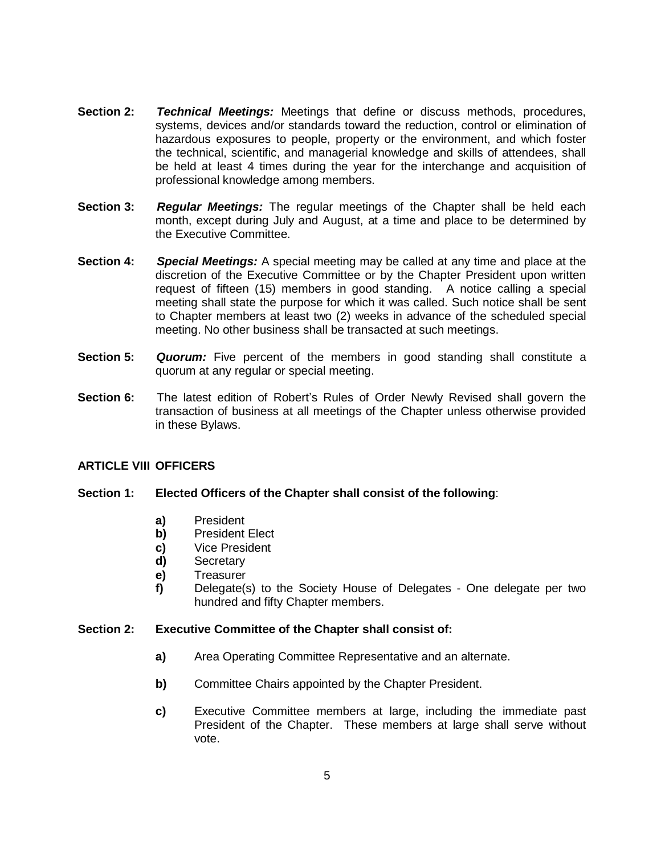- **Section 2:** *Technical Meetings:* Meetings that define or discuss methods, procedures, systems, devices and/or standards toward the reduction, control or elimination of hazardous exposures to people, property or the environment, and which foster the technical, scientific, and managerial knowledge and skills of attendees, shall be held at least 4 times during the year for the interchange and acquisition of professional knowledge among members.
- **Section 3:** *Regular Meetings:* The regular meetings of the Chapter shall be held each month, except during July and August, at a time and place to be determined by the Executive Committee.
- **Section 4:** *Special Meetings:* A special meeting may be called at any time and place at the discretion of the Executive Committee or by the Chapter President upon written request of fifteen (15) members in good standing. A notice calling a special meeting shall state the purpose for which it was called. Such notice shall be sent to Chapter members at least two (2) weeks in advance of the scheduled special meeting. No other business shall be transacted at such meetings.
- **Section 5: Quorum:** Five percent of the members in good standing shall constitute a quorum at any regular or special meeting.
- **Section 6:** The latest edition of Robert's Rules of Order Newly Revised shall govern the transaction of business at all meetings of the Chapter unless otherwise provided in these Bylaws.

# **ARTICLE VIII OFFICERS**

# **Section 1: Elected Officers of the Chapter shall consist of the following**:

- **a)** President
- **b)** President Elect
- **c)** Vice President
- **d)** Secretary
- **e)** Treasurer
- **f)** Delegate(s) to the Society House of Delegates One delegate per two hundred and fifty Chapter members.

#### **Section 2: Executive Committee of the Chapter shall consist of:**

- **a)** Area Operating Committee Representative and an alternate.
- **b)** Committee Chairs appointed by the Chapter President.
- **c)** Executive Committee members at large, including the immediate past President of the Chapter. These members at large shall serve without vote.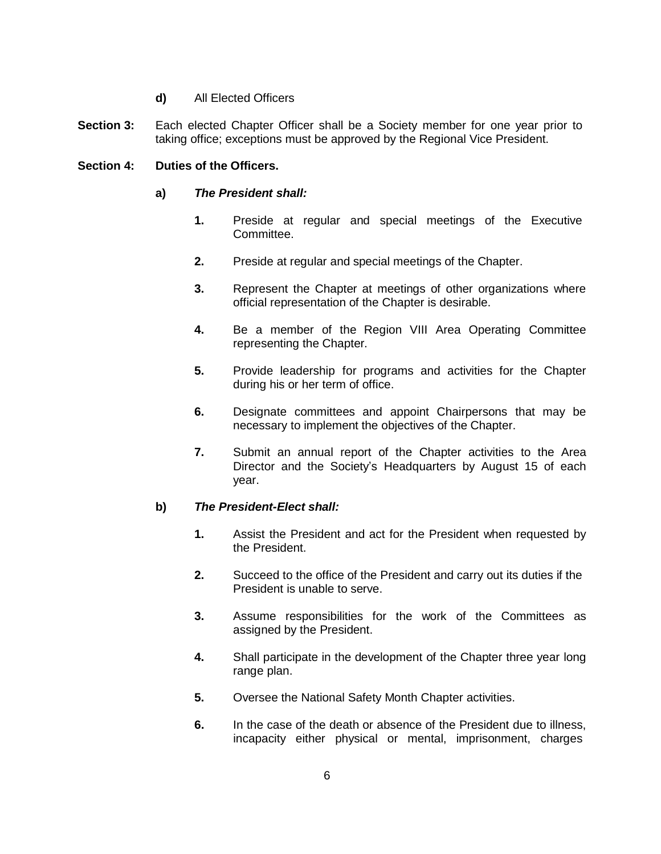# **d)** All Elected Officers

**Section 3:** Each elected Chapter Officer shall be a Society member for one year prior to taking office; exceptions must be approved by the Regional Vice President.

# **Section 4: Duties of the Officers.**

- **a)** *The President shall:*
	- **1.** Preside at regular and special meetings of the Executive Committee.
	- **2.** Preside at regular and special meetings of the Chapter.
	- **3.** Represent the Chapter at meetings of other organizations where official representation of the Chapter is desirable.
	- **4.** Be a member of the Region VIII Area Operating Committee representing the Chapter.
	- **5.** Provide leadership for programs and activities for the Chapter during his or her term of office.
	- **6.** Designate committees and appoint Chairpersons that may be necessary to implement the objectives of the Chapter.
	- **7.** Submit an annual report of the Chapter activities to the Area Director and the Society's Headquarters by August 15 of each year.

#### **b)** *The President-Elect shall:*

- **1.** Assist the President and act for the President when requested by the President.
- **2.** Succeed to the office of the President and carry out its duties if the President is unable to serve.
- **3.** Assume responsibilities for the work of the Committees as assigned by the President.
- **4.** Shall participate in the development of the Chapter three year long range plan.
- **5.** Oversee the National Safety Month Chapter activities.
- **6.** In the case of the death or absence of the President due to illness, incapacity either physical or mental, imprisonment, charges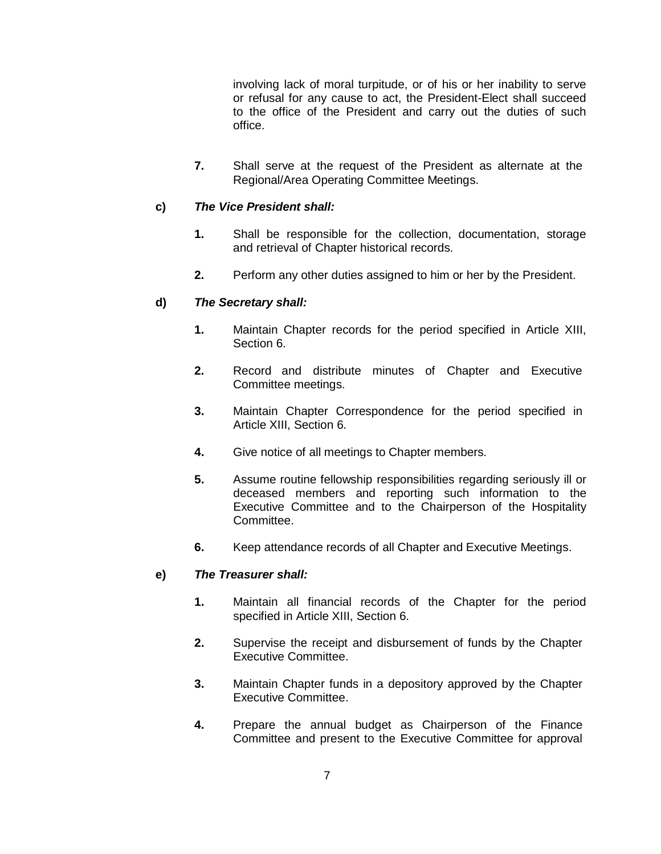involving lack of moral turpitude, or of his or her inability to serve or refusal for any cause to act, the President-Elect shall succeed to the office of the President and carry out the duties of such office.

**7.** Shall serve at the request of the President as alternate at the Regional/Area Operating Committee Meetings.

# **c)** *The Vice President shall:*

- **1.** Shall be responsible for the collection, documentation, storage and retrieval of Chapter historical records.
- **2.** Perform any other duties assigned to him or her by the President.

# **d)** *The Secretary shall:*

- **1.** Maintain Chapter records for the period specified in Article XIII, Section 6.
- **2.** Record and distribute minutes of Chapter and Executive Committee meetings.
- **3.** Maintain Chapter Correspondence for the period specified in Article XIII, Section 6.
- **4.** Give notice of all meetings to Chapter members.
- **5.** Assume routine fellowship responsibilities regarding seriously ill or deceased members and reporting such information to the Executive Committee and to the Chairperson of the Hospitality Committee.
- **6.** Keep attendance records of all Chapter and Executive Meetings.

#### **e)** *The Treasurer shall:*

- **1.** Maintain all financial records of the Chapter for the period specified in Article XIII, Section 6.
- **2.** Supervise the receipt and disbursement of funds by the Chapter Executive Committee.
- **3.** Maintain Chapter funds in a depository approved by the Chapter Executive Committee.
- **4.** Prepare the annual budget as Chairperson of the Finance Committee and present to the Executive Committee for approval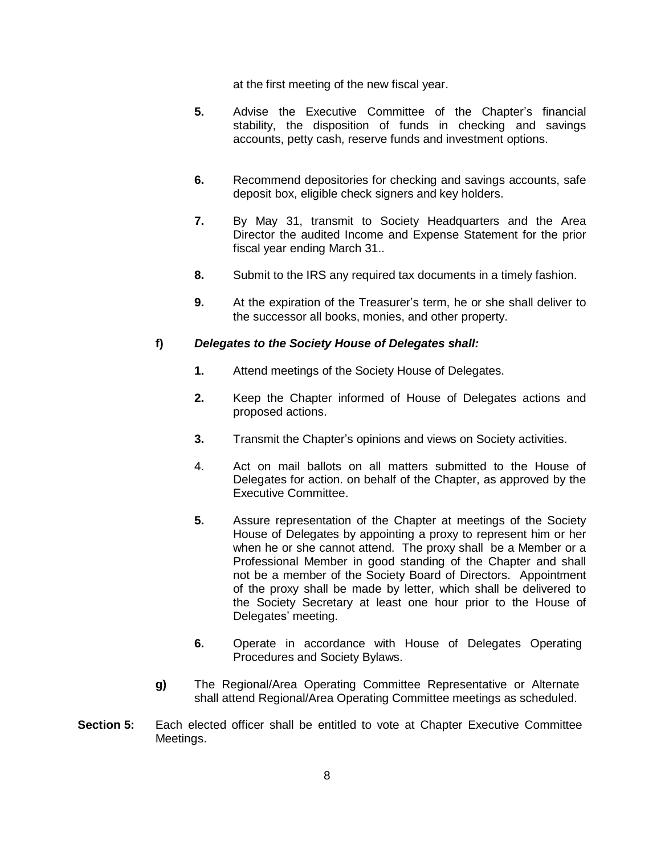at the first meeting of the new fiscal year.

- **5.** Advise the Executive Committee of the Chapter's financial stability, the disposition of funds in checking and savings accounts, petty cash, reserve funds and investment options.
- **6.** Recommend depositories for checking and savings accounts, safe deposit box, eligible check signers and key holders.
- **7.** By May 31, transmit to Society Headquarters and the Area Director the audited Income and Expense Statement for the prior fiscal year ending March 31..
- **8.** Submit to the IRS any required tax documents in a timely fashion.
- **9.** At the expiration of the Treasurer's term, he or she shall deliver to the successor all books, monies, and other property.

# **f)** *Delegates to the Society House of Delegates shall:*

- **1.** Attend meetings of the Society House of Delegates.
- **2.** Keep the Chapter informed of House of Delegates actions and proposed actions.
- **3.** Transmit the Chapter's opinions and views on Society activities.
- 4. Act on mail ballots on all matters submitted to the House of Delegates for action. on behalf of the Chapter, as approved by the Executive Committee.
- **5.** Assure representation of the Chapter at meetings of the Society House of Delegates by appointing a proxy to represent him or her when he or she cannot attend. The proxy shall be a Member or a Professional Member in good standing of the Chapter and shall not be a member of the Society Board of Directors. Appointment of the proxy shall be made by letter, which shall be delivered to the Society Secretary at least one hour prior to the House of Delegates' meeting.
- **6.** Operate in accordance with House of Delegates Operating Procedures and Society Bylaws.
- **g)** The Regional/Area Operating Committee Representative or Alternate shall attend Regional/Area Operating Committee meetings as scheduled.
- **Section 5:** Each elected officer shall be entitled to vote at Chapter Executive Committee Meetings.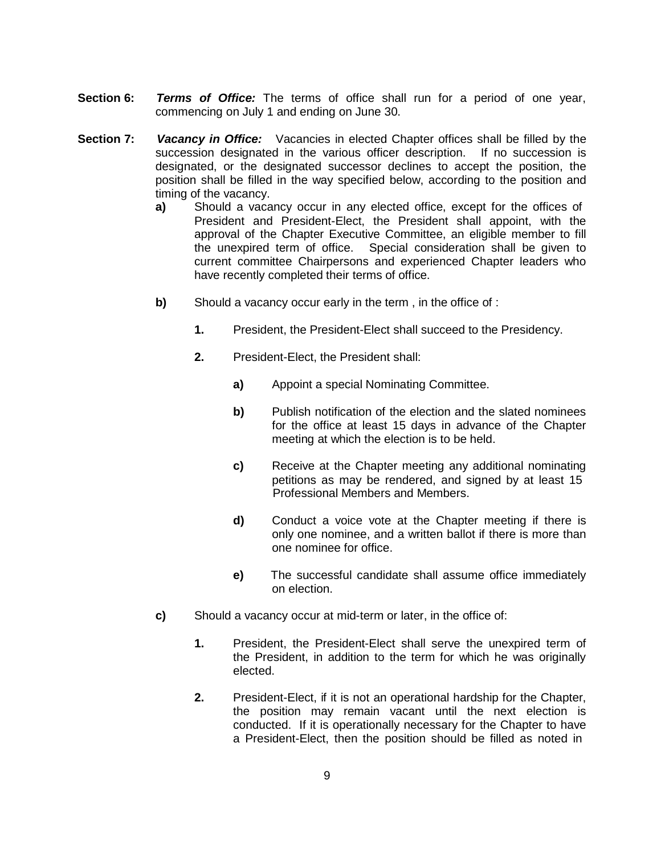- **Section 6:** *Terms of Office:* The terms of office shall run for a period of one year, commencing on July 1 and ending on June 30.
- **Section 7:** *Vacancy in Office:* Vacancies in elected Chapter offices shall be filled by the succession designated in the various officer description. If no succession is designated, or the designated successor declines to accept the position, the position shall be filled in the way specified below, according to the position and timing of the vacancy.
	- **a)** Should a vacancy occur in any elected office, except for the offices of President and President-Elect, the President shall appoint, with the approval of the Chapter Executive Committee, an eligible member to fill the unexpired term of office. Special consideration shall be given to current committee Chairpersons and experienced Chapter leaders who have recently completed their terms of office.
	- **b)** Should a vacancy occur early in the term, in the office of :
		- **1.** President, the President-Elect shall succeed to the Presidency.
		- **2.** President-Elect, the President shall:
			- **a)** Appoint a special Nominating Committee.
			- **b)** Publish notification of the election and the slated nominees for the office at least 15 days in advance of the Chapter meeting at which the election is to be held.
			- **c)** Receive at the Chapter meeting any additional nominating petitions as may be rendered, and signed by at least 15 Professional Members and Members.
			- **d)** Conduct a voice vote at the Chapter meeting if there is only one nominee, and a written ballot if there is more than one nominee for office.
			- **e)** The successful candidate shall assume office immediately on election.
	- **c)** Should a vacancy occur at mid-term or later, in the office of:
		- **1.** President, the President-Elect shall serve the unexpired term of the President, in addition to the term for which he was originally elected.
		- **2.** President-Elect, if it is not an operational hardship for the Chapter, the position may remain vacant until the next election is conducted. If it is operationally necessary for the Chapter to have a President-Elect, then the position should be filled as noted in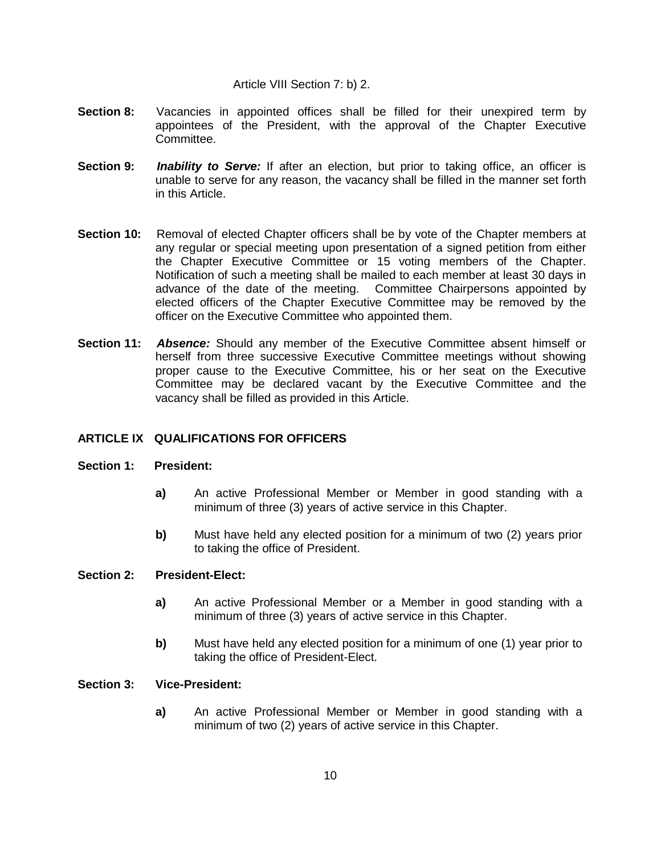#### Article VIII Section 7: b) 2.

- **Section 8:** Vacancies in appointed offices shall be filled for their unexpired term by appointees of the President, with the approval of the Chapter Executive Committee.
- **Section 9:** *Inability to Serve:* If after an election, but prior to taking office, an officer is unable to serve for any reason, the vacancy shall be filled in the manner set forth in this Article.
- **Section 10:** Removal of elected Chapter officers shall be by vote of the Chapter members at any regular or special meeting upon presentation of a signed petition from either the Chapter Executive Committee or 15 voting members of the Chapter. Notification of such a meeting shall be mailed to each member at least 30 days in advance of the date of the meeting. Committee Chairpersons appointed by elected officers of the Chapter Executive Committee may be removed by the officer on the Executive Committee who appointed them.
- **Section 11:** *Absence:* Should any member of the Executive Committee absent himself or herself from three successive Executive Committee meetings without showing proper cause to the Executive Committee, his or her seat on the Executive Committee may be declared vacant by the Executive Committee and the vacancy shall be filled as provided in this Article.

# **ARTICLE IX QUALIFICATIONS FOR OFFICERS**

#### **Section 1: President:**

- **a)** An active Professional Member or Member in good standing with a minimum of three (3) years of active service in this Chapter.
- **b)** Must have held any elected position for a minimum of two (2) years prior to taking the office of President.

#### **Section 2: President-Elect:**

- **a)** An active Professional Member or a Member in good standing with a minimum of three (3) years of active service in this Chapter.
- **b)** Must have held any elected position for a minimum of one (1) year prior to taking the office of President-Elect.

#### **Section 3: Vice-President:**

**a)** An active Professional Member or Member in good standing with a minimum of two (2) years of active service in this Chapter.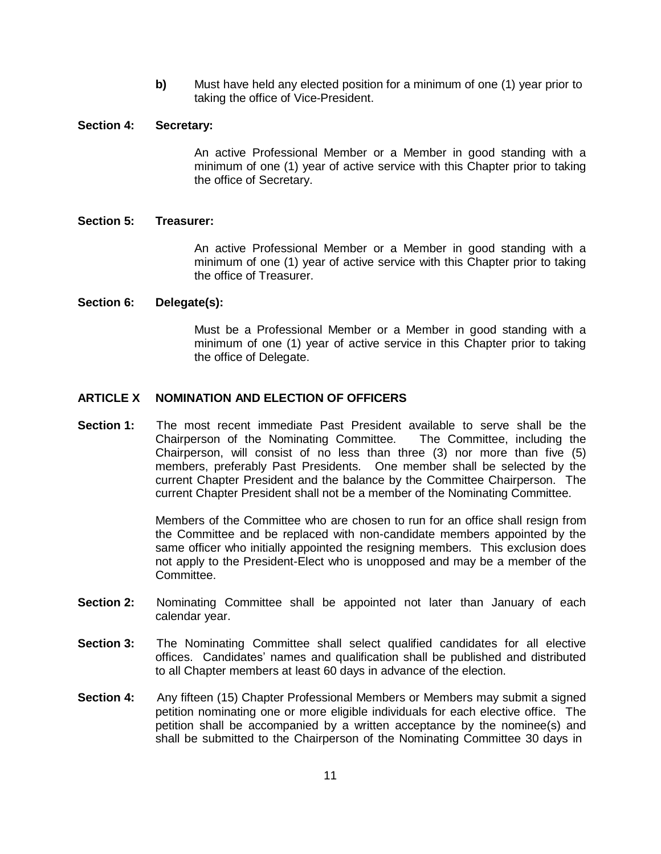**b)** Must have held any elected position for a minimum of one (1) year prior to taking the office of Vice-President.

#### **Section 4: Secretary:**

An active Professional Member or a Member in good standing with a minimum of one (1) year of active service with this Chapter prior to taking the office of Secretary.

#### **Section 5: Treasurer:**

An active Professional Member or a Member in good standing with a minimum of one (1) year of active service with this Chapter prior to taking the office of Treasurer.

#### **Section 6: Delegate(s):**

Must be a Professional Member or a Member in good standing with a minimum of one (1) year of active service in this Chapter prior to taking the office of Delegate.

### **ARTICLE X NOMINATION AND ELECTION OF OFFICERS**

**Section 1:** The most recent immediate Past President available to serve shall be the Chairperson of the Nominating Committee. The Committee, including the Chairperson, will consist of no less than three (3) nor more than five (5) members, preferably Past Presidents. One member shall be selected by the current Chapter President and the balance by the Committee Chairperson. The current Chapter President shall not be a member of the Nominating Committee.

> Members of the Committee who are chosen to run for an office shall resign from the Committee and be replaced with non-candidate members appointed by the same officer who initially appointed the resigning members. This exclusion does not apply to the President-Elect who is unopposed and may be a member of the Committee.

- **Section 2:** Nominating Committee shall be appointed not later than January of each calendar year.
- **Section 3:** The Nominating Committee shall select qualified candidates for all elective offices. Candidates' names and qualification shall be published and distributed to all Chapter members at least 60 days in advance of the election.
- **Section 4:** Any fifteen (15) Chapter Professional Members or Members may submit a signed petition nominating one or more eligible individuals for each elective office. The petition shall be accompanied by a written acceptance by the nominee(s) and shall be submitted to the Chairperson of the Nominating Committee 30 days in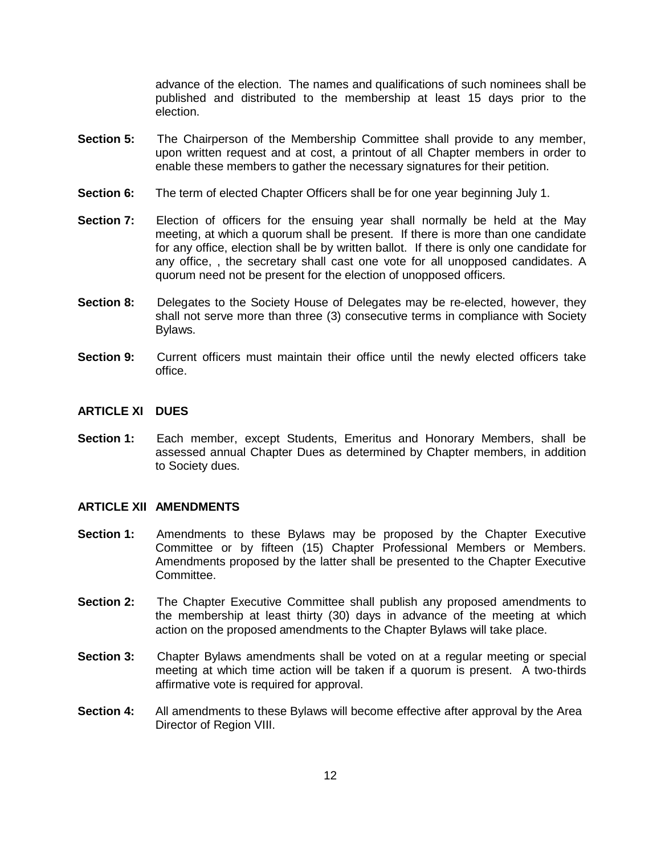advance of the election. The names and qualifications of such nominees shall be published and distributed to the membership at least 15 days prior to the election.

- **Section 5:** The Chairperson of the Membership Committee shall provide to any member, upon written request and at cost, a printout of all Chapter members in order to enable these members to gather the necessary signatures for their petition.
- **Section 6:** The term of elected Chapter Officers shall be for one year beginning July 1.
- **Section 7:** Election of officers for the ensuing year shall normally be held at the May meeting, at which a quorum shall be present. If there is more than one candidate for any office, election shall be by written ballot. If there is only one candidate for any office, , the secretary shall cast one vote for all unopposed candidates. A quorum need not be present for the election of unopposed officers.
- **Section 8:** Delegates to the Society House of Delegates may be re-elected, however, they shall not serve more than three (3) consecutive terms in compliance with Society Bylaws.
- **Section 9:** Current officers must maintain their office until the newly elected officers take office.

#### **ARTICLE XI DUES**

**Section 1:** Each member, except Students, Emeritus and Honorary Members, shall be assessed annual Chapter Dues as determined by Chapter members, in addition to Society dues.

### **ARTICLE XII AMENDMENTS**

- **Section 1:** Amendments to these Bylaws may be proposed by the Chapter Executive Committee or by fifteen (15) Chapter Professional Members or Members. Amendments proposed by the latter shall be presented to the Chapter Executive Committee.
- **Section 2:** The Chapter Executive Committee shall publish any proposed amendments to the membership at least thirty (30) days in advance of the meeting at which action on the proposed amendments to the Chapter Bylaws will take place.
- **Section 3:** Chapter Bylaws amendments shall be voted on at a regular meeting or special meeting at which time action will be taken if a quorum is present. A two-thirds affirmative vote is required for approval.
- **Section 4:** All amendments to these Bylaws will become effective after approval by the Area Director of Region VIII.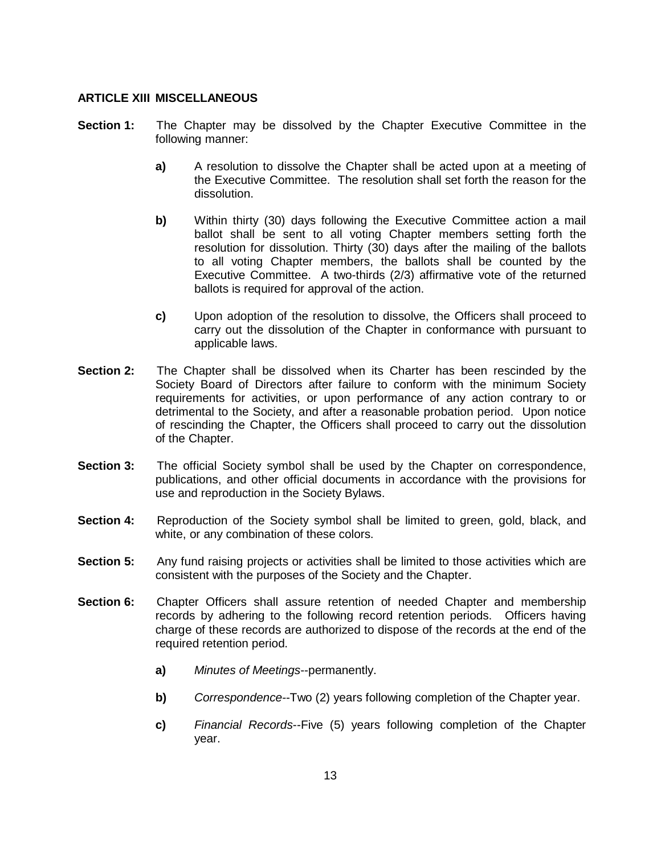### **ARTICLE XIII MISCELLANEOUS**

- **Section 1:** The Chapter may be dissolved by the Chapter Executive Committee in the following manner:
	- **a)** A resolution to dissolve the Chapter shall be acted upon at a meeting of the Executive Committee. The resolution shall set forth the reason for the dissolution.
	- **b)** Within thirty (30) days following the Executive Committee action a mail ballot shall be sent to all voting Chapter members setting forth the resolution for dissolution. Thirty (30) days after the mailing of the ballots to all voting Chapter members, the ballots shall be counted by the Executive Committee. A two-thirds (2/3) affirmative vote of the returned ballots is required for approval of the action.
	- **c)** Upon adoption of the resolution to dissolve, the Officers shall proceed to carry out the dissolution of the Chapter in conformance with pursuant to applicable laws.
- **Section 2:** The Chapter shall be dissolved when its Charter has been rescinded by the Society Board of Directors after failure to conform with the minimum Society requirements for activities, or upon performance of any action contrary to or detrimental to the Society, and after a reasonable probation period. Upon notice of rescinding the Chapter, the Officers shall proceed to carry out the dissolution of the Chapter.
- **Section 3:** The official Society symbol shall be used by the Chapter on correspondence, publications, and other official documents in accordance with the provisions for use and reproduction in the Society Bylaws.
- **Section 4:** Reproduction of the Society symbol shall be limited to green, gold, black, and white, or any combination of these colors.
- **Section 5:** Any fund raising projects or activities shall be limited to those activities which are consistent with the purposes of the Society and the Chapter.
- **Section 6:** Chapter Officers shall assure retention of needed Chapter and membership records by adhering to the following record retention periods. Officers having charge of these records are authorized to dispose of the records at the end of the required retention period.
	- **a)** *Minutes of Meetings*--permanently.
	- **b)** *Correspondence-*-Two (2) years following completion of the Chapter year.
	- **c)** *Financial Records*--Five (5) years following completion of the Chapter year.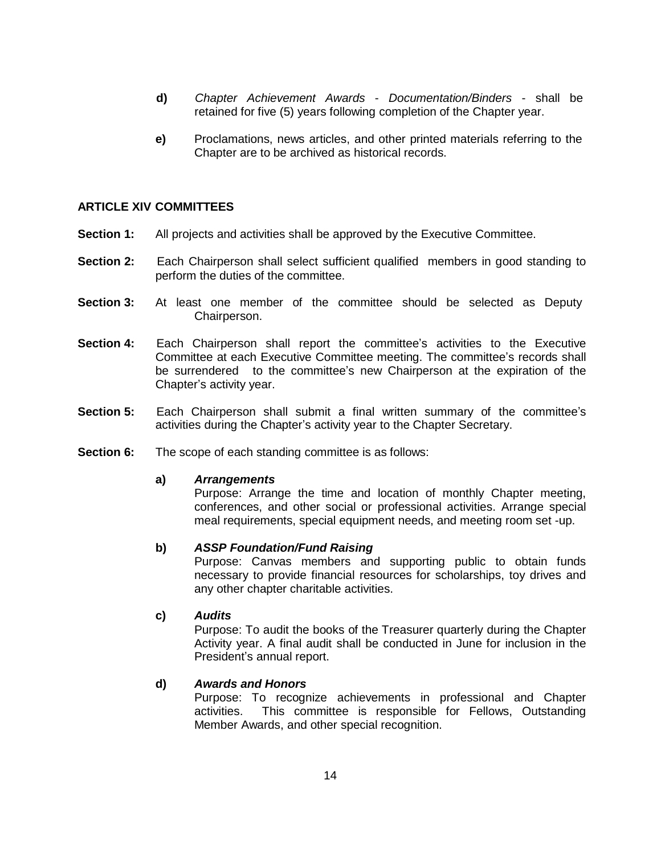- **d)** *Chapter Achievement Awards Documentation/Binders*  shall be retained for five (5) years following completion of the Chapter year.
- **e)** Proclamations, news articles, and other printed materials referring to the Chapter are to be archived as historical records.

#### **ARTICLE XIV COMMITTEES**

- **Section 1:** All projects and activities shall be approved by the Executive Committee.
- **Section 2:** Each Chairperson shall select sufficient qualified members in good standing to perform the duties of the committee.
- **Section 3:** At least one member of the committee should be selected as Deputy Chairperson.
- **Section 4:** Each Chairperson shall report the committee's activities to the Executive Committee at each Executive Committee meeting. The committee's records shall be surrendered to the committee's new Chairperson at the expiration of the Chapter's activity year.
- **Section 5:** Each Chairperson shall submit a final written summary of the committee's activities during the Chapter's activity year to the Chapter Secretary.
- **Section 6:** The scope of each standing committee is as follows:

#### **a)** *Arrangements*

Purpose: Arrange the time and location of monthly Chapter meeting, conferences, and other social or professional activities. Arrange special meal requirements, special equipment needs, and meeting room set -up.

#### **b)** *ASSP Foundation/Fund Raising*

Purpose: Canvas members and supporting public to obtain funds necessary to provide financial resources for scholarships, toy drives and any other chapter charitable activities.

#### **c)** *Audits*

Purpose: To audit the books of the Treasurer quarterly during the Chapter Activity year. A final audit shall be conducted in June for inclusion in the President's annual report.

#### **d)** *Awards and Honors*

Purpose: To recognize achievements in professional and Chapter activities. This committee is responsible for Fellows, Outstanding Member Awards, and other special recognition.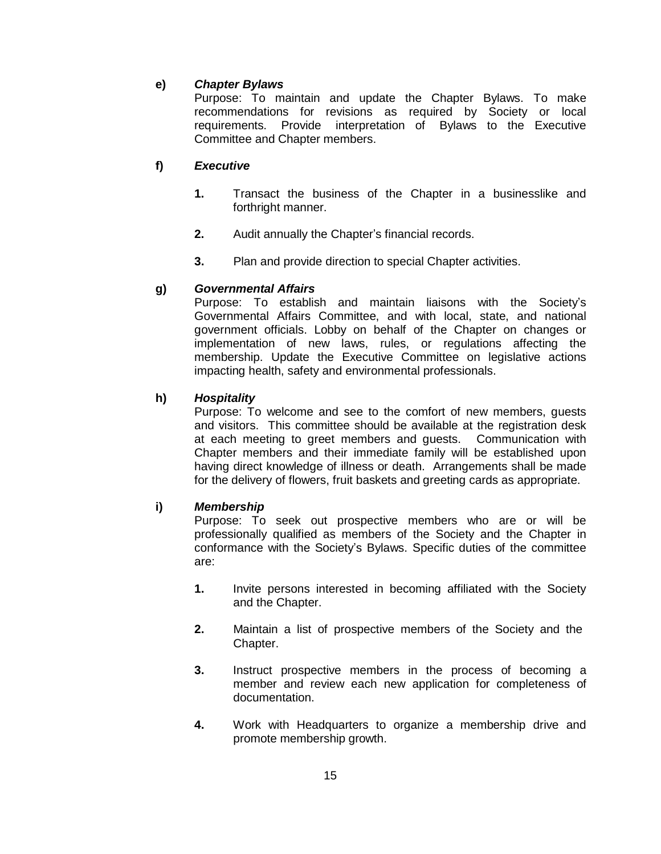# **e)** *Chapter Bylaws*

Purpose: To maintain and update the Chapter Bylaws. To make recommendations for revisions as required by Society or local requirements. Provide interpretation of Bylaws to the Executive Committee and Chapter members.

# **f)** *Executive*

- **1.** Transact the business of the Chapter in a businesslike and forthright manner.
- **2.** Audit annually the Chapter's financial records.
- **3.** Plan and provide direction to special Chapter activities.

# **g)** *Governmental Affairs*

Purpose: To establish and maintain liaisons with the Society's Governmental Affairs Committee, and with local, state, and national government officials. Lobby on behalf of the Chapter on changes or implementation of new laws, rules, or regulations affecting the membership. Update the Executive Committee on legislative actions impacting health, safety and environmental professionals.

# **h)** *Hospitality*

Purpose: To welcome and see to the comfort of new members, guests and visitors. This committee should be available at the registration desk at each meeting to greet members and guests. Communication with Chapter members and their immediate family will be established upon having direct knowledge of illness or death. Arrangements shall be made for the delivery of flowers, fruit baskets and greeting cards as appropriate.

# **i)** *Membership*

Purpose: To seek out prospective members who are or will be professionally qualified as members of the Society and the Chapter in conformance with the Society's Bylaws. Specific duties of the committee are:

- **1.** Invite persons interested in becoming affiliated with the Society and the Chapter.
- **2.** Maintain a list of prospective members of the Society and the Chapter.
- **3.** Instruct prospective members in the process of becoming a member and review each new application for completeness of documentation.
- **4.** Work with Headquarters to organize a membership drive and promote membership growth.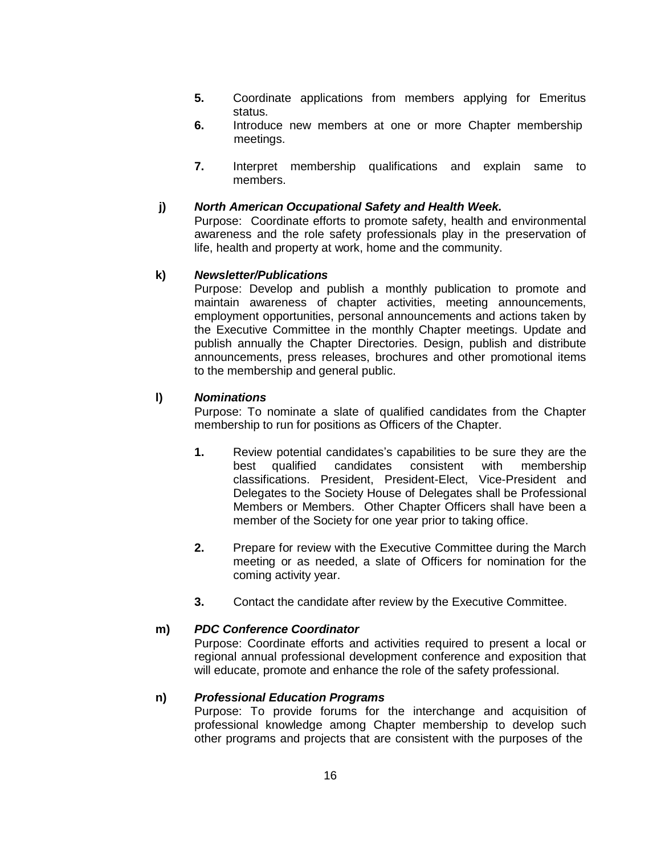- **5.** Coordinate applications from members applying for Emeritus status.
- **6.** Introduce new members at one or more Chapter membership meetings.
- **7.** Interpret membership qualifications and explain same to members.

#### **j)** *North American Occupational Safety and Health Week.*

Purpose: Coordinate efforts to promote safety, health and environmental awareness and the role safety professionals play in the preservation of life, health and property at work, home and the community.

# **k)** *Newsletter/Publications*

Purpose: Develop and publish a monthly publication to promote and maintain awareness of chapter activities, meeting announcements, employment opportunities, personal announcements and actions taken by the Executive Committee in the monthly Chapter meetings. Update and publish annually the Chapter Directories. Design, publish and distribute announcements, press releases, brochures and other promotional items to the membership and general public.

# **l)** *Nominations*

Purpose: To nominate a slate of qualified candidates from the Chapter membership to run for positions as Officers of the Chapter.

- **1.** Review potential candidates's capabilities to be sure they are the best qualified candidates consistent with membership classifications. President, President-Elect, Vice-President and Delegates to the Society House of Delegates shall be Professional Members or Members. Other Chapter Officers shall have been a member of the Society for one year prior to taking office.
- **2.** Prepare for review with the Executive Committee during the March meeting or as needed, a slate of Officers for nomination for the coming activity year.
- **3.** Contact the candidate after review by the Executive Committee.

#### **m)** *PDC Conference Coordinator*

Purpose: Coordinate efforts and activities required to present a local or regional annual professional development conference and exposition that will educate, promote and enhance the role of the safety professional.

#### **n)** *Professional Education Programs*

Purpose: To provide forums for the interchange and acquisition of professional knowledge among Chapter membership to develop such other programs and projects that are consistent with the purposes of the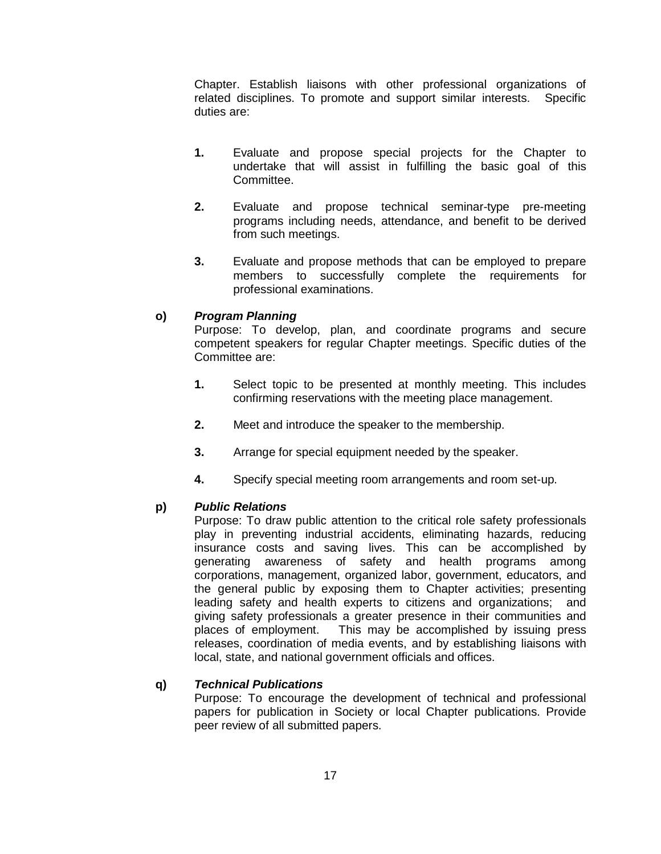Chapter. Establish liaisons with other professional organizations of related disciplines. To promote and support similar interests. Specific duties are:

- **1.** Evaluate and propose special projects for the Chapter to undertake that will assist in fulfilling the basic goal of this Committee.
- **2.** Evaluate and propose technical seminar-type pre-meeting programs including needs, attendance, and benefit to be derived from such meetings.
- **3.** Evaluate and propose methods that can be employed to prepare members to successfully complete the requirements for professional examinations.

# **o)** *Program Planning*

Purpose: To develop, plan, and coordinate programs and secure competent speakers for regular Chapter meetings. Specific duties of the Committee are:

- **1.** Select topic to be presented at monthly meeting. This includes confirming reservations with the meeting place management.
- **2.** Meet and introduce the speaker to the membership.
- **3.** Arrange for special equipment needed by the speaker.
- **4.** Specify special meeting room arrangements and room set-up.

# **p)** *Public Relations*

Purpose: To draw public attention to the critical role safety professionals play in preventing industrial accidents, eliminating hazards, reducing insurance costs and saving lives. This can be accomplished by generating awareness of safety and health programs among corporations, management, organized labor, government, educators, and the general public by exposing them to Chapter activities; presenting leading safety and health experts to citizens and organizations; and giving safety professionals a greater presence in their communities and places of employment. This may be accomplished by issuing press releases, coordination of media events, and by establishing liaisons with local, state, and national government officials and offices.

#### **q)** *Technical Publications*

Purpose: To encourage the development of technical and professional papers for publication in Society or local Chapter publications. Provide peer review of all submitted papers.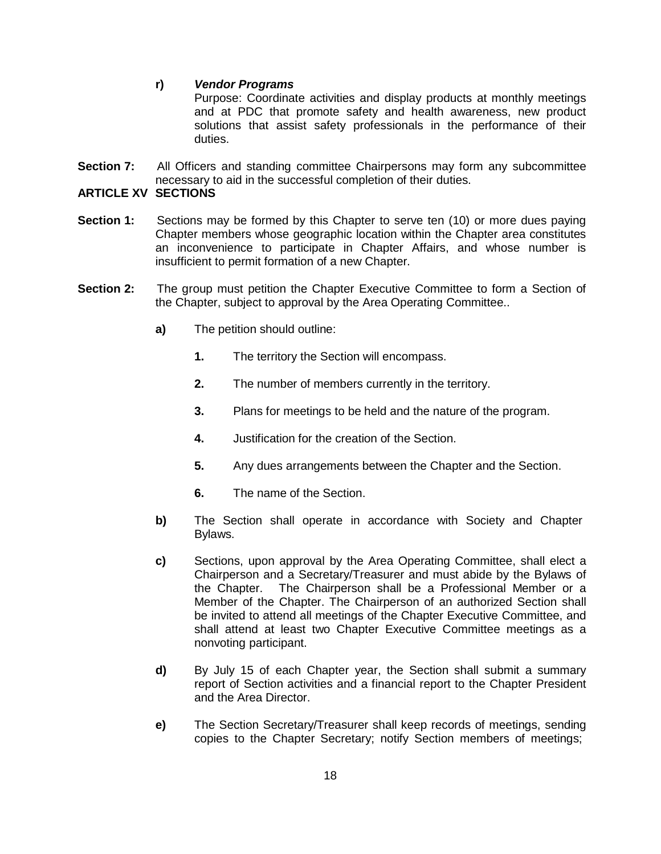# **r)** *Vendor Programs*

Purpose: Coordinate activities and display products at monthly meetings and at PDC that promote safety and health awareness, new product solutions that assist safety professionals in the performance of their duties.

**Section 7:** All Officers and standing committee Chairpersons may form any subcommittee necessary to aid in the successful completion of their duties.

### **ARTICLE XV SECTIONS**

- **Section 1:** Sections may be formed by this Chapter to serve ten (10) or more dues paying Chapter members whose geographic location within the Chapter area constitutes an inconvenience to participate in Chapter Affairs, and whose number is insufficient to permit formation of a new Chapter.
- **Section 2:** The group must petition the Chapter Executive Committee to form a Section of the Chapter, subject to approval by the Area Operating Committee..
	- **a)** The petition should outline:
		- **1.** The territory the Section will encompass.
		- **2.** The number of members currently in the territory.
		- **3.** Plans for meetings to be held and the nature of the program.
		- **4.** Justification for the creation of the Section.
		- **5.** Any dues arrangements between the Chapter and the Section.
		- **6.** The name of the Section.
	- **b)** The Section shall operate in accordance with Society and Chapter Bylaws.
	- **c)** Sections, upon approval by the Area Operating Committee, shall elect a Chairperson and a Secretary/Treasurer and must abide by the Bylaws of the Chapter. The Chairperson shall be a Professional Member or a Member of the Chapter. The Chairperson of an authorized Section shall be invited to attend all meetings of the Chapter Executive Committee, and shall attend at least two Chapter Executive Committee meetings as a nonvoting participant.
	- **d)** By July 15 of each Chapter year, the Section shall submit a summary report of Section activities and a financial report to the Chapter President and the Area Director.
	- **e)** The Section Secretary/Treasurer shall keep records of meetings, sending copies to the Chapter Secretary; notify Section members of meetings;